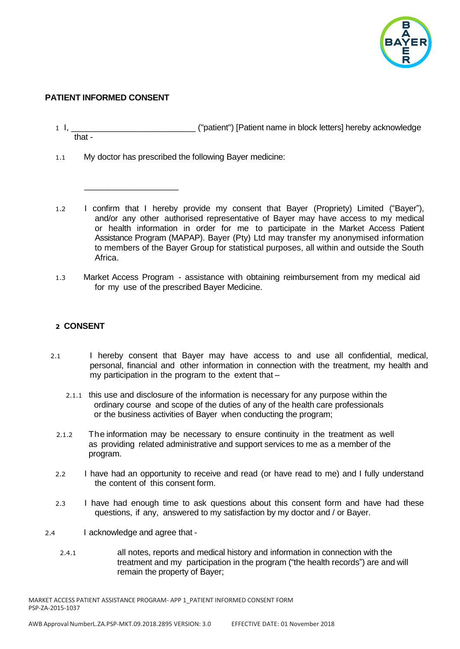

## **PATIENT INFORMED CONSENT**

\_\_\_\_\_\_\_\_\_\_\_\_\_\_\_\_\_\_\_\_

- 1 I, \_\_\_\_\_\_\_\_\_\_\_\_\_\_\_\_\_\_\_\_\_\_\_\_\_\_ ("patient") [Patient name in block letters] hereby acknowledge that -
- 1.1 My doctor has prescribed the following Bayer medicine:
- 1.2 I confirm that I hereby provide my consent that Bayer (Propriety) Limited ("Bayer"), and/or any other authorised representative of Bayer may have access to my medical or health information in order for me to participate in the Market Access Patient Assistance Program (MAPAP). Bayer (Pty) Ltd may transfer my anonymised information to members of the Bayer Group for statistical purposes, all within and outside the South Africa.
- 1.3 Market Access Program assistance with obtaining reimbursement from my medical aid for my use of the prescribed Bayer Medicine.

## **2 CONSENT**

- 2.1 I hereby consent that Bayer may have access to and use all confidential, medical, personal, financial and other information in connection with the treatment, my health and my participation in the program to the extent that –
	- 2.1.1 this use and disclosure of the information is necessary for any purpose within the ordinary course and scope of the duties of any of the health care professionals or the business activities of Bayer when conducting the program;
	- 2.1.2 The information may be necessary to ensure continuity in the treatment as well as providing related administrative and support services to me as a member of the program.
	- 2.2 I have had an opportunity to receive and read (or have read to me) and I fully understand the content of this consent form.
	- 2.3 I have had enough time to ask questions about this consent form and have had these questions, if any, answered to my satisfaction by my doctor and / or Bayer.
- 2.4 I acknowledge and agree that
	- 2.4.1 all notes, reports and medical history and information in connection with the treatment and my participation in the program ("the health records") are and will remain the property of Bayer;

MARKET ACCESS PATIENT ASSISTANCE PROGRAM- APP 1\_PATIENT INFORMED CONSENT FORM PSP-ZA-2015-1037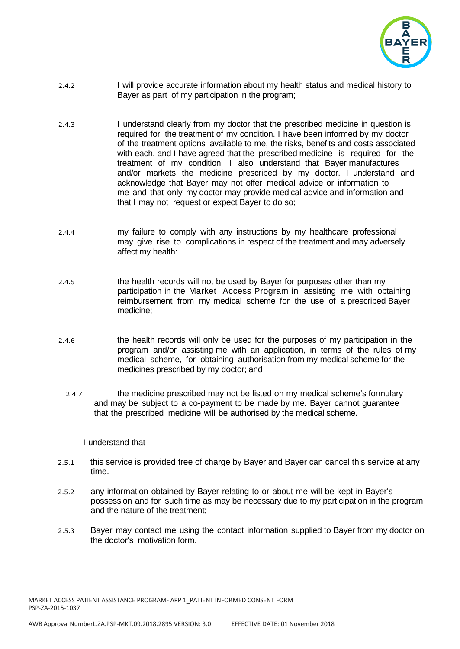

- 2.4.2 I will provide accurate information about my health status and medical history to Bayer as part of my participation in the program;
- 2.4.3 I understand clearly from my doctor that the prescribed medicine in question is required for the treatment of my condition. I have been informed by my doctor of the treatment options available to me, the risks, benefits and costs associated with each, and I have agreed that the prescribed medicine is required for the treatment of my condition; I also understand that Bayer manufactures and/or markets the medicine prescribed by my doctor. I understand and acknowledge that Bayer may not offer medical advice or information to me and that only my doctor may provide medical advice and information and that I may not request or expect Bayer to do so;
- 2.4.4 my failure to comply with any instructions by my healthcare professional may give rise to complications in respect of the treatment and may adversely affect my health:
- 2.4.5 the health records will not be used by Bayer for purposes other than my participation in the Market Access Program in assisting me with obtaining reimbursement from my medical scheme for the use of a prescribed Bayer medicine;
- 2.4.6 the health records will only be used for the purposes of my participation in the program and/or assisting me with an application, in terms of the rules of my medical scheme, for obtaining authorisation from my medical scheme for the medicines prescribed by my doctor; and
	- 2.4.7 the medicine prescribed may not be listed on my medical scheme's formulary and may be subject to a co-payment to be made by me. Bayer cannot guarantee that the prescribed medicine will be authorised by the medical scheme.

I understand that –

- 2.5.1 this service is provided free of charge by Bayer and Bayer can cancel this service at any time.
- 2.5.2 any information obtained by Bayer relating to or about me will be kept in Bayer's possession and for such time as may be necessary due to my participation in the program and the nature of the treatment;
- 2.5.3 Bayer may contact me using the contact information supplied to Bayer from my doctor on the doctor's motivation form.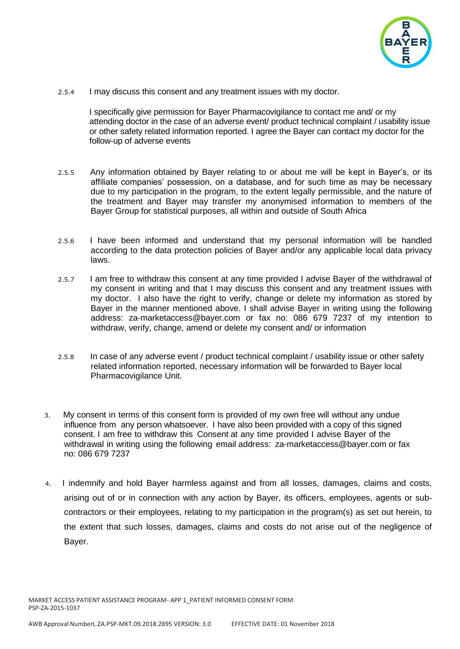

2.5.4 I may discuss this consent and any treatment issues with my doctor.

I specifically give permission for Bayer Pharmacovigilance to contact me and/ or my attending doctor in the case of an adverse event/ product technical complaint / usability issue or other safety related information reported. I agree the Bayer can contact my doctor for the follow-up of adverse events

- 2.5.5 Any information obtained by Bayer relating to or about me will be kept in Bayer's, or its affiliate companies' possession, on a database, and for such time as may be necessary due to my participation in the program, to the extent legally permissible, and the nature of the treatment and Bayer may transfer my anonymised information to members of the Bayer Group for statistical purposes, all within and outside of South Africa
- 2.5.6 I have been informed and understand that my personal information will be handled according to the data protection policies of Bayer and/or any applicable local data privacy laws.
- 2.5.7 I am free to withdraw this consent at any time provided I advise Bayer of the withdrawal of my consent in writing and that I may discuss this consent and any treatment issues with my doctor. I also have the right to verify, change or delete my information as stored by Bayer in the manner mentioned above. I shall advise Bayer in writing using the following address: [za-marketaccess@bayer.com](mailto:za-marketaccess@bayer.com) or fax no: 086 679 7237 of my intention to withdraw, verify, change, amend or delete my consent and/ or information
- 2.5.8 In case of any adverse event / product technical complaint / usability issue or other safety related information reported, necessary information will be forwarded to Bayer local Pharmacovigilance Unit.
- 3. My consent in terms of this consent form is provided of my own free will without any undue influence from any person whatsoever. I have also been provided with a copy of this signed consent. I am free to withdraw this Consent at any time provided I advise Bayer of the withdrawal in writing using the following email address: [za-marketaccess@bayer.com](mailto:za-marketaccess@bayer.com) or fax no: 086 679 7237
- 4. I indemnify and hold Bayer harmless against and from all losses, damages, claims and costs, arising out of or in connection with any action by Bayer, its officers, employees, agents or subcontractors or their employees, relating to my participation in the program(s) as set out herein, to the extent that such losses, damages, claims and costs do not arise out of the negligence of Bayer.